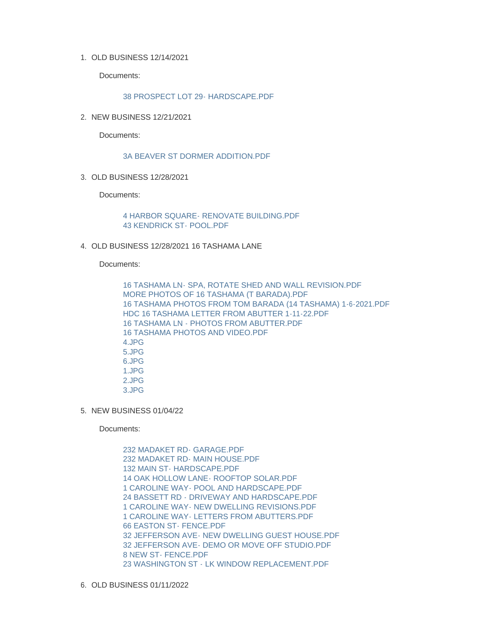OLD BUSINESS 12/14/2021 1.

Documents:

[38 PROSPECT LOT 29- HARDSCAPE.PDF](https://www.nantucket-ma.gov/AgendaCenter/ViewFile/Item/4415?fileID=36045)

2. NEW BUSINESS 12/21/2021

Documents:

## [3A BEAVER ST DORMER ADDITION.PDF](https://www.nantucket-ma.gov/AgendaCenter/ViewFile/Item/4416?fileID=36046)

OLD BUSINESS 12/28/2021 3.

Documents:

[4 HARBOR SQUARE- RENOVATE BUILDING.PDF](https://www.nantucket-ma.gov/AgendaCenter/ViewFile/Item/4417?fileID=36047) [43 KENDRICK ST- POOL.PDF](https://www.nantucket-ma.gov/AgendaCenter/ViewFile/Item/4417?fileID=36048)

OLD BUSINESS 12/28/2021 16 TASHAMA LANE 4.

Documents:

[16 TASHAMA LN- SPA, ROTATE SHED AND WALL REVISION.PDF](https://www.nantucket-ma.gov/AgendaCenter/ViewFile/Item/4418?fileID=36049) [MORE PHOTOS OF 16 TASHAMA \(T BARADA\).PDF](https://www.nantucket-ma.gov/AgendaCenter/ViewFile/Item/4418?fileID=36050) [16 TASHAMA PHOTOS FROM TOM BARADA \(14 TASHAMA\) 1-6-2021.PDF](https://www.nantucket-ma.gov/AgendaCenter/ViewFile/Item/4418?fileID=36051) [HDC 16 TASHAMA LETTER FROM ABUTTER 1-11-22.PDF](https://www.nantucket-ma.gov/AgendaCenter/ViewFile/Item/4418?fileID=36052) [16 TASHAMA LN - PHOTOS FROM ABUTTER.PDF](https://www.nantucket-ma.gov/AgendaCenter/ViewFile/Item/4418?fileID=36053) [16 TASHAMA PHOTOS AND VIDEO.PDF](https://www.nantucket-ma.gov/AgendaCenter/ViewFile/Item/4418?fileID=36054) [4.JPG](https://www.nantucket-ma.gov/AgendaCenter/ViewFile/Item/4418?fileID=36055) [5.JPG](https://www.nantucket-ma.gov/AgendaCenter/ViewFile/Item/4418?fileID=36056) [6.JPG](https://www.nantucket-ma.gov/AgendaCenter/ViewFile/Item/4418?fileID=36057) [1.JPG](https://www.nantucket-ma.gov/AgendaCenter/ViewFile/Item/4418?fileID=36058) [2.JPG](https://www.nantucket-ma.gov/AgendaCenter/ViewFile/Item/4418?fileID=36059) [3.JPG](https://www.nantucket-ma.gov/AgendaCenter/ViewFile/Item/4418?fileID=36060)

5. NEW BUSINESS 01/04/22

Documents:

[232 MADAKET RD- GARAGE.PDF](https://www.nantucket-ma.gov/AgendaCenter/ViewFile/Item/4419?fileID=36061) [232 MADAKET RD- MAIN HOUSE.PDF](https://www.nantucket-ma.gov/AgendaCenter/ViewFile/Item/4419?fileID=36062) [132 MAIN ST- HARDSCAPE.PDF](https://www.nantucket-ma.gov/AgendaCenter/ViewFile/Item/4419?fileID=36063) [14 OAK HOLLOW LANE- ROOFTOP SOLAR.PDF](https://www.nantucket-ma.gov/AgendaCenter/ViewFile/Item/4419?fileID=36064) 1 CAROLINE WAY- POOL AND HARDSCAPE PDF [24 BASSETT RD - DRIVEWAY AND HARDSCAPE.PDF](https://www.nantucket-ma.gov/AgendaCenter/ViewFile/Item/4419?fileID=36066) [1 CAROLINE WAY- NEW DWELLING REVISIONS.PDF](https://www.nantucket-ma.gov/AgendaCenter/ViewFile/Item/4419?fileID=36067) [1 CAROLINE WAY- LETTERS FROM ABUTTERS.PDF](https://www.nantucket-ma.gov/AgendaCenter/ViewFile/Item/4419?fileID=36068) [66 EASTON ST- FENCE.PDF](https://www.nantucket-ma.gov/AgendaCenter/ViewFile/Item/4419?fileID=36069) [32 JEFFERSON AVE- NEW DWELLING GUEST HOUSE.PDF](https://www.nantucket-ma.gov/AgendaCenter/ViewFile/Item/4419?fileID=36070) [32 JEFFERSON AVE- DEMO OR MOVE OFF STUDIO.PDF](https://www.nantucket-ma.gov/AgendaCenter/ViewFile/Item/4419?fileID=36071) [8 NEW ST- FENCE.PDF](https://www.nantucket-ma.gov/AgendaCenter/ViewFile/Item/4419?fileID=36072) [23 WASHINGTON ST - LK WINDOW REPLACEMENT.PDF](https://www.nantucket-ma.gov/AgendaCenter/ViewFile/Item/4419?fileID=36073)

6. OLD BUSINESS 01/11/2022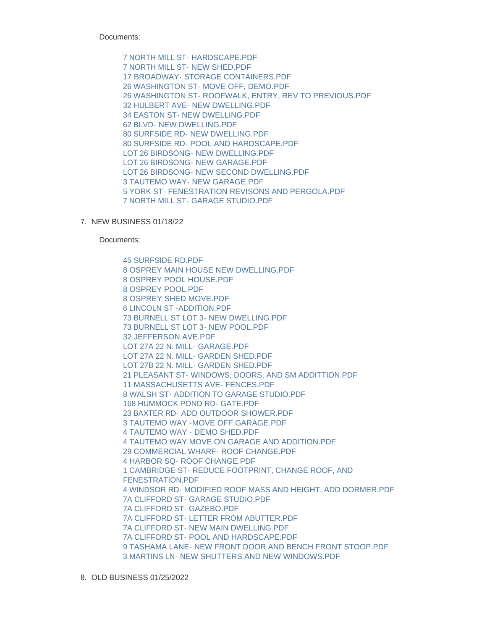Documents:

[7 NORTH MILL ST- HARDSCAPE.PDF](https://www.nantucket-ma.gov/AgendaCenter/ViewFile/Item/4420?fileID=36074) [7 NORTH MILL ST- NEW SHED.PDF](https://www.nantucket-ma.gov/AgendaCenter/ViewFile/Item/4420?fileID=36075) [17 BROADWAY- STORAGE CONTAINERS.PDF](https://www.nantucket-ma.gov/AgendaCenter/ViewFile/Item/4420?fileID=36076) [26 WASHINGTON ST- MOVE OFF, DEMO.PDF](https://www.nantucket-ma.gov/AgendaCenter/ViewFile/Item/4420?fileID=36077) [26 WASHINGTON ST- ROOFWALK, ENTRY, REV TO PREVIOUS.PDF](https://www.nantucket-ma.gov/AgendaCenter/ViewFile/Item/4420?fileID=36078) [32 HULBERT AVE- NEW DWELLING.PDF](https://www.nantucket-ma.gov/AgendaCenter/ViewFile/Item/4420?fileID=36079) [34 EASTON ST- NEW DWELLING.PDF](https://www.nantucket-ma.gov/AgendaCenter/ViewFile/Item/4420?fileID=36080) [62 BLVD- NEW DWELLING.PDF](https://www.nantucket-ma.gov/AgendaCenter/ViewFile/Item/4420?fileID=36081) [80 SURFSIDE RD- NEW DWELLING.PDF](https://www.nantucket-ma.gov/AgendaCenter/ViewFile/Item/4420?fileID=36082) [80 SURFSIDE RD- POOL AND HARDSCAPE.PDF](https://www.nantucket-ma.gov/AgendaCenter/ViewFile/Item/4420?fileID=36083) [LOT 26 BIRDSONG- NEW DWELLING.PDF](https://www.nantucket-ma.gov/AgendaCenter/ViewFile/Item/4420?fileID=36084) [LOT 26 BIRDSONG- NEW GARAGE.PDF](https://www.nantucket-ma.gov/AgendaCenter/ViewFile/Item/4420?fileID=36085) [LOT 26 BIRDSONG- NEW SECOND DWELLING.PDF](https://www.nantucket-ma.gov/AgendaCenter/ViewFile/Item/4420?fileID=36086) [3 TAUTEMO WAY- NEW GARAGE.PDF](https://www.nantucket-ma.gov/AgendaCenter/ViewFile/Item/4420?fileID=36087) [5 YORK ST- FENESTRATION REVISONS AND PERGOLA.PDF](https://www.nantucket-ma.gov/AgendaCenter/ViewFile/Item/4420?fileID=36088) [7 NORTH MILL ST- GARAGE STUDIO.PDF](https://www.nantucket-ma.gov/AgendaCenter/ViewFile/Item/4420?fileID=36089)

7. NEW BUSINESS 01/18/22

Documents:

[45 SURFSIDE RD.PDF](https://www.nantucket-ma.gov/AgendaCenter/ViewFile/Item/4421?fileID=36090) [8 OSPREY MAIN HOUSE NEW DWELLING.PDF](https://www.nantucket-ma.gov/AgendaCenter/ViewFile/Item/4421?fileID=36091) [8 OSPREY POOL HOUSE.PDF](https://www.nantucket-ma.gov/AgendaCenter/ViewFile/Item/4421?fileID=36092) [8 OSPREY POOL.PDF](https://www.nantucket-ma.gov/AgendaCenter/ViewFile/Item/4421?fileID=36093) [8 OSPREY SHED MOVE.PDF](https://www.nantucket-ma.gov/AgendaCenter/ViewFile/Item/4421?fileID=36094) [6 LINCOLN ST -ADDITION.PDF](https://www.nantucket-ma.gov/AgendaCenter/ViewFile/Item/4421?fileID=36095) [73 BURNELL ST LOT 3- NEW DWELLING.PDF](https://www.nantucket-ma.gov/AgendaCenter/ViewFile/Item/4421?fileID=36096) [73 BURNELL ST LOT 3- NEW POOL.PDF](https://www.nantucket-ma.gov/AgendaCenter/ViewFile/Item/4421?fileID=36097) [32 JEFFERSON AVE.PDF](https://www.nantucket-ma.gov/AgendaCenter/ViewFile/Item/4421?fileID=36098) [LOT 27A 22 N. MILL- GARAGE.PDF](https://www.nantucket-ma.gov/AgendaCenter/ViewFile/Item/4421?fileID=36099) [LOT 27A 22 N. MILL- GARDEN SHED.PDF](https://www.nantucket-ma.gov/AgendaCenter/ViewFile/Item/4421?fileID=36100) [LOT 27B 22 N. MILL- GARDEN SHED.PDF](https://www.nantucket-ma.gov/AgendaCenter/ViewFile/Item/4421?fileID=36101) [21 PLEASANT ST- WINDOWS, DOORS, AND SM ADDITTION.PDF](https://www.nantucket-ma.gov/AgendaCenter/ViewFile/Item/4421?fileID=36102) [11 MASSACHUSETTS AVE- FENCES.PDF](https://www.nantucket-ma.gov/AgendaCenter/ViewFile/Item/4421?fileID=36103) [8 WALSH ST- ADDITION TO GARAGE STUDIO.PDF](https://www.nantucket-ma.gov/AgendaCenter/ViewFile/Item/4421?fileID=36104) [168 HUMMOCK POND RD- GATE.PDF](https://www.nantucket-ma.gov/AgendaCenter/ViewFile/Item/4421?fileID=36105) [23 BAXTER RD- ADD OUTDOOR SHOWER.PDF](https://www.nantucket-ma.gov/AgendaCenter/ViewFile/Item/4421?fileID=36106) 3 TAUTEMO WAY -MOVE OFF GARAGE PDF [4 TAUTEMO WAY - DEMO SHED.PDF](https://www.nantucket-ma.gov/AgendaCenter/ViewFile/Item/4421?fileID=36108) [4 TAUTEMO WAY MOVE ON GARAGE AND ADDITION.PDF](https://www.nantucket-ma.gov/AgendaCenter/ViewFile/Item/4421?fileID=36109) [29 COMMERCIAL WHARF- ROOF CHANGE.PDF](https://www.nantucket-ma.gov/AgendaCenter/ViewFile/Item/4421?fileID=36110) [4 HARBOR SQ- ROOF CHANGE.PDF](https://www.nantucket-ma.gov/AgendaCenter/ViewFile/Item/4421?fileID=36111) [1 CAMBRIDGE ST- REDUCE FOOTPRINT, CHANGE ROOF, AND](https://www.nantucket-ma.gov/AgendaCenter/ViewFile/Item/4421?fileID=36112)  FENESTRATION.PDF [4 WINDSOR RD- MODIFIED ROOF MASS AND HEIGHT, ADD DORMER.PDF](https://www.nantucket-ma.gov/AgendaCenter/ViewFile/Item/4421?fileID=36113) [7A CLIFFORD ST- GARAGE STUDIO.PDF](https://www.nantucket-ma.gov/AgendaCenter/ViewFile/Item/4421?fileID=36114) [7A CLIFFORD ST- GAZEBO.PDF](https://www.nantucket-ma.gov/AgendaCenter/ViewFile/Item/4421?fileID=36115) [7A CLIFFORD ST- LETTER FROM ABUTTER.PDF](https://www.nantucket-ma.gov/AgendaCenter/ViewFile/Item/4421?fileID=36116) [7A CLIFFORD ST- NEW MAIN DWELLING.PDF](https://www.nantucket-ma.gov/AgendaCenter/ViewFile/Item/4421?fileID=36117) [7A CLIFFORD ST- POOL AND HARDSCAPE.PDF](https://www.nantucket-ma.gov/AgendaCenter/ViewFile/Item/4421?fileID=36118) [9 TASHAMA LANE- NEW FRONT DOOR AND BENCH FRONT STOOP.PDF](https://www.nantucket-ma.gov/AgendaCenter/ViewFile/Item/4421?fileID=36119) [3 MARTINS LN- NEW SHUTTERS AND NEW WINDOWS.PDF](https://www.nantucket-ma.gov/AgendaCenter/ViewFile/Item/4421?fileID=36120)